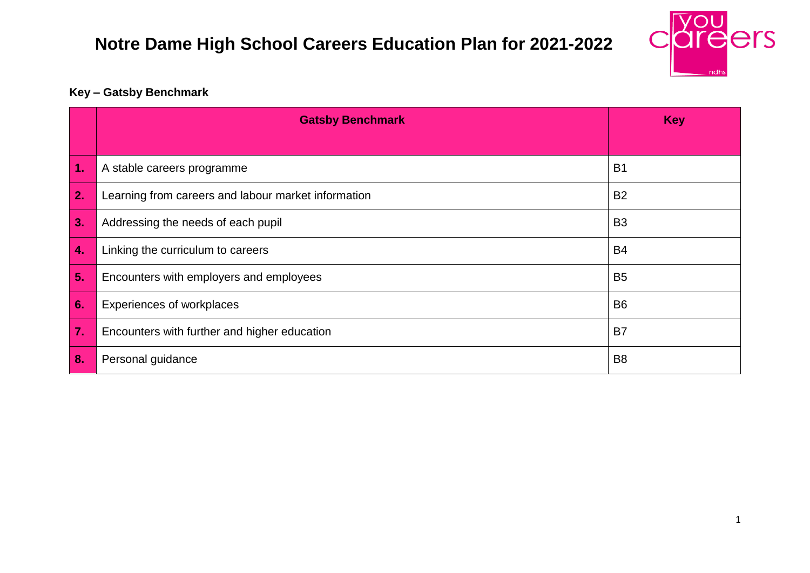

#### **Key – Gatsby Benchmark**

|                    | <b>Gatsby Benchmark</b>                             | <b>Key</b>     |
|--------------------|-----------------------------------------------------|----------------|
|                    |                                                     |                |
| $\vert$ 1.         | A stable careers programme                          | B <sub>1</sub> |
| $\overline{2}$ .   | Learning from careers and labour market information | <b>B2</b>      |
| 3.                 | Addressing the needs of each pupil                  | B <sub>3</sub> |
| $\boldsymbol{4}$ . | Linking the curriculum to careers                   | <b>B4</b>      |
| 5.                 | Encounters with employers and employees             | B <sub>5</sub> |
| <b>G.</b>          | <b>Experiences of workplaces</b>                    | B <sub>6</sub> |
| 7.                 | Encounters with further and higher education        | B <sub>7</sub> |
| 8.                 | Personal guidance                                   | B <sub>8</sub> |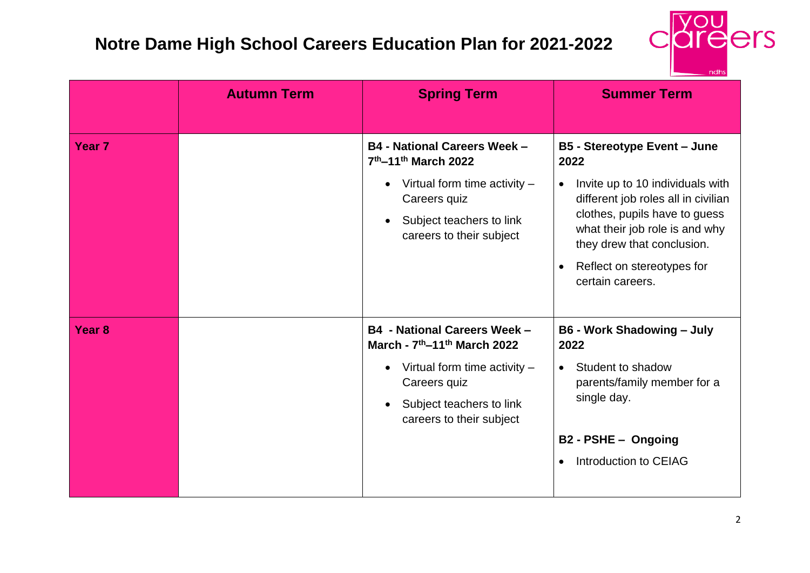

|                   | <b>Autumn Term</b> | <b>Spring Term</b>                                                                                                                                                                                                              | <b>Summer Term</b>                                                                                                                                                                                                                                                                     |
|-------------------|--------------------|---------------------------------------------------------------------------------------------------------------------------------------------------------------------------------------------------------------------------------|----------------------------------------------------------------------------------------------------------------------------------------------------------------------------------------------------------------------------------------------------------------------------------------|
| Year <sub>7</sub> |                    | <b>B4 - National Careers Week -</b><br>7th-11th March 2022<br>Virtual form time activity $-$<br>$\bullet$<br>Careers quiz<br>Subject teachers to link<br>$\bullet$<br>careers to their subject                                  | <b>B5 - Stereotype Event - June</b><br>2022<br>Invite up to 10 individuals with<br>$\bullet$<br>different job roles all in civilian<br>clothes, pupils have to guess<br>what their job role is and why<br>they drew that conclusion.<br>Reflect on stereotypes for<br>certain careers. |
| Year <sub>8</sub> |                    | <b>B4 - National Careers Week -</b><br>March - 7 <sup>th</sup> -11 <sup>th</sup> March 2022<br>Virtual form time activity $-$<br>$\bullet$<br>Careers quiz<br>Subject teachers to link<br>$\bullet$<br>careers to their subject | <b>B6 - Work Shadowing - July</b><br>2022<br>Student to shadow<br>$\bullet$<br>parents/family member for a<br>single day.<br>B2 - PSHE - Ongoing<br>Introduction to CEIAG<br>$\bullet$                                                                                                 |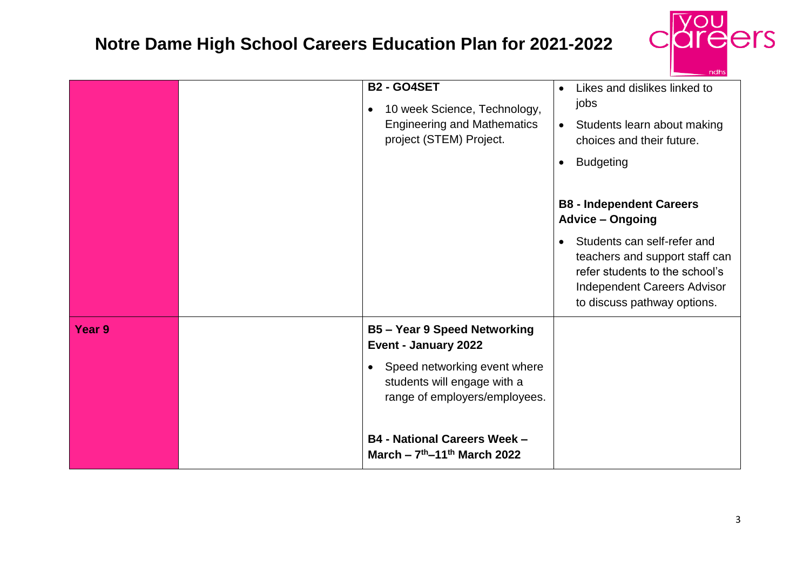

|        | <b>B2 - GO4SET</b><br>10 week Science, Technology,<br>$\bullet$<br><b>Engineering and Mathematics</b><br>project (STEM) Project.                                                                                                                            | Likes and dislikes linked to<br>$\bullet$<br>jobs<br>Students learn about making<br>$\bullet$<br>choices and their future.<br><b>Budgeting</b><br>$\bullet$<br><b>B8 - Independent Careers</b><br><b>Advice - Ongoing</b> |
|--------|-------------------------------------------------------------------------------------------------------------------------------------------------------------------------------------------------------------------------------------------------------------|---------------------------------------------------------------------------------------------------------------------------------------------------------------------------------------------------------------------------|
|        |                                                                                                                                                                                                                                                             | Students can self-refer and<br>$\bullet$<br>teachers and support staff can<br>refer students to the school's<br><b>Independent Careers Advisor</b><br>to discuss pathway options.                                         |
| Year 9 | <b>B5-Year 9 Speed Networking</b><br>Event - January 2022<br>Speed networking event where<br>$\bullet$<br>students will engage with a<br>range of employers/employees.<br><b>B4 - National Careers Week -</b><br>March - $7th$ -11 <sup>th</sup> March 2022 |                                                                                                                                                                                                                           |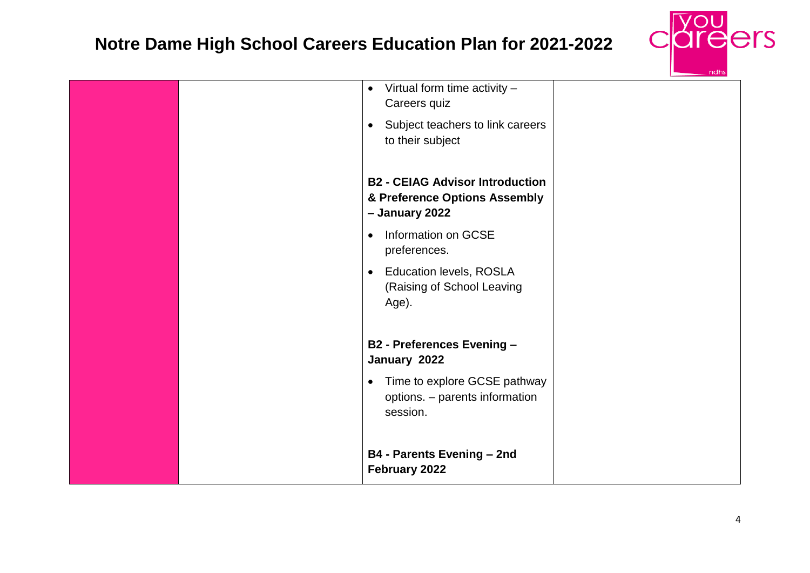

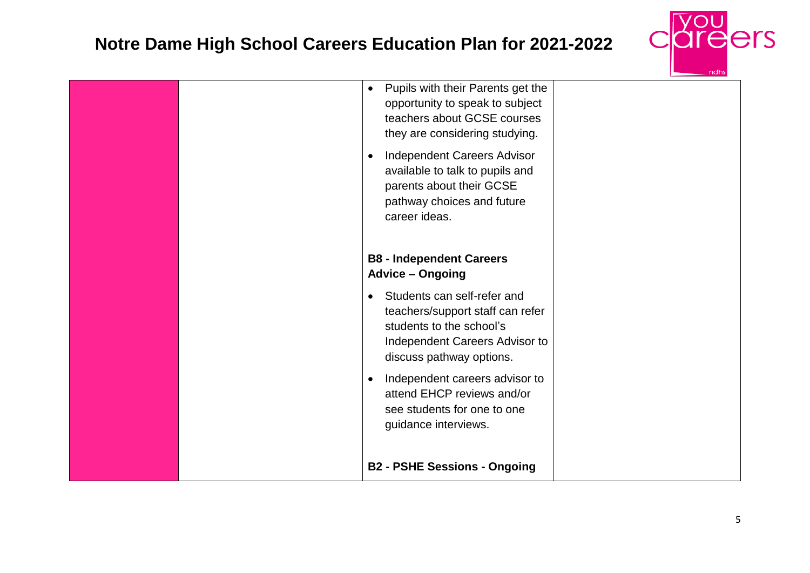

| <b>Advice - Ongoing</b><br>Students can self-refer and<br>$\bullet$<br>teachers/support staff can refer<br>students to the school's<br>Independent Careers Advisor to<br>discuss pathway options.<br>Independent careers advisor to<br>attend EHCP reviews and/or<br>see students for one to one<br>guidance interviews.<br><b>B2 - PSHE Sessions - Ongoing</b> |  |
|-----------------------------------------------------------------------------------------------------------------------------------------------------------------------------------------------------------------------------------------------------------------------------------------------------------------------------------------------------------------|--|
| Pupils with their Parents get the<br>$\bullet$<br>opportunity to speak to subject<br>teachers about GCSE courses<br>they are considering studying.<br>Independent Careers Advisor<br>available to talk to pupils and<br>parents about their GCSE<br>pathway choices and future<br>career ideas.<br><b>B8 - Independent Careers</b>                              |  |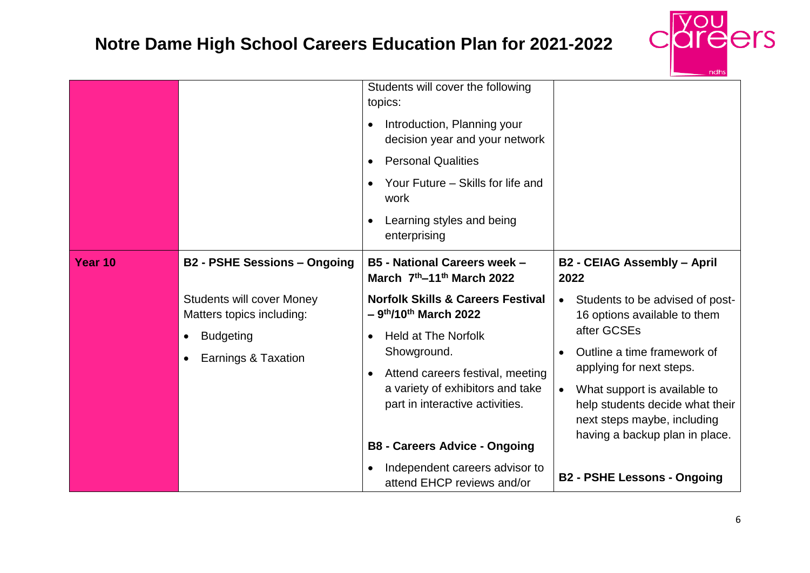

|         |                                                                                                                                                 | Students will cover the following<br>topics:<br>Introduction, Planning your<br>decision year and your network<br><b>Personal Qualities</b><br>Your Future – Skills for life and<br>work<br>Learning styles and being<br>enterprising                                                                                                                                |                                                                                                                                                                                                                                                                                                                                                       |
|---------|-------------------------------------------------------------------------------------------------------------------------------------------------|---------------------------------------------------------------------------------------------------------------------------------------------------------------------------------------------------------------------------------------------------------------------------------------------------------------------------------------------------------------------|-------------------------------------------------------------------------------------------------------------------------------------------------------------------------------------------------------------------------------------------------------------------------------------------------------------------------------------------------------|
| Year 10 | <b>B2 - PSHE Sessions - Ongoing</b><br><b>Students will cover Money</b><br>Matters topics including:<br><b>Budgeting</b><br>Earnings & Taxation | <b>B5 - National Careers week -</b><br>March 7th-11th March 2022<br><b>Norfolk Skills &amp; Careers Festival</b><br>$-9$ <sup>th</sup> /10 <sup>th</sup> March 2022<br><b>Held at The Norfolk</b><br>Showground.<br>Attend careers festival, meeting<br>a variety of exhibitors and take<br>part in interactive activities.<br><b>B8 - Careers Advice - Ongoing</b> | <b>B2 - CEIAG Assembly - April</b><br>2022<br>Students to be advised of post-<br>$\bullet$<br>16 options available to them<br>after GCSEs<br>Outline a time framework of<br>applying for next steps.<br>What support is available to<br>$\bullet$<br>help students decide what their<br>next steps maybe, including<br>having a backup plan in place. |
|         |                                                                                                                                                 | Independent careers advisor to<br>attend EHCP reviews and/or                                                                                                                                                                                                                                                                                                        | <b>B2 - PSHE Lessons - Ongoing</b>                                                                                                                                                                                                                                                                                                                    |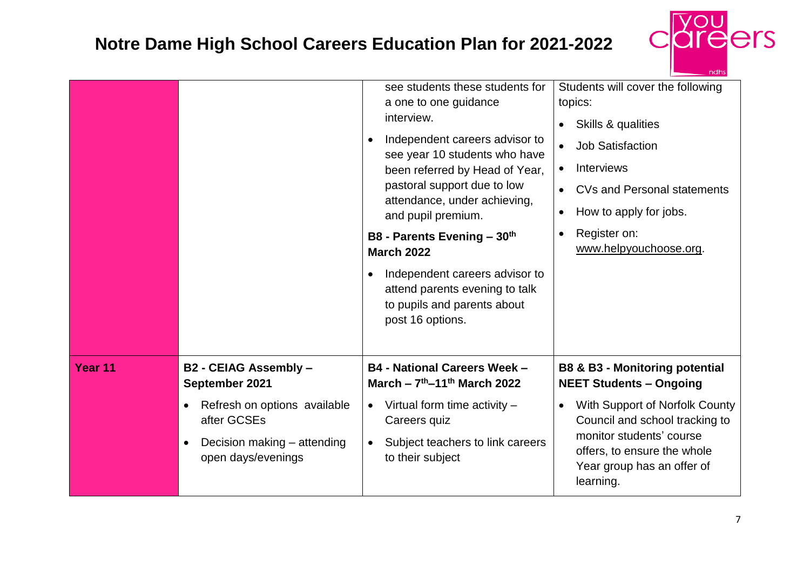

|         |                                                                | see students these students for<br>a one to one guidance<br>interview.<br>Independent careers advisor to<br>see year 10 students who have<br>been referred by Head of Year,<br>pastoral support due to low<br>attendance, under achieving,<br>and pupil premium.<br>B8 - Parents Evening - 30th<br><b>March 2022</b><br>Independent careers advisor to<br>$\bullet$<br>attend parents evening to talk<br>to pupils and parents about<br>post 16 options. | Students will cover the following<br>topics:<br>Skills & qualities<br>$\bullet$<br><b>Job Satisfaction</b><br>$\bullet$<br><b>Interviews</b><br>$\bullet$<br><b>CVs and Personal statements</b><br>$\bullet$<br>How to apply for jobs.<br>$\bullet$<br>Register on:<br>$\bullet$<br>www.helpyouchoose.org. |
|---------|----------------------------------------------------------------|----------------------------------------------------------------------------------------------------------------------------------------------------------------------------------------------------------------------------------------------------------------------------------------------------------------------------------------------------------------------------------------------------------------------------------------------------------|------------------------------------------------------------------------------------------------------------------------------------------------------------------------------------------------------------------------------------------------------------------------------------------------------------|
| Year 11 | B2 - CEIAG Assembly -                                          | <b>B4 - National Careers Week -</b>                                                                                                                                                                                                                                                                                                                                                                                                                      | <b>B8 &amp; B3 - Monitoring potential</b>                                                                                                                                                                                                                                                                  |
|         | September 2021                                                 | March – $7^{th}$ –11 <sup>th</sup> March 2022                                                                                                                                                                                                                                                                                                                                                                                                            | <b>NEET Students - Ongoing</b>                                                                                                                                                                                                                                                                             |
|         | Refresh on options available                                   | Virtual form time activity $-$                                                                                                                                                                                                                                                                                                                                                                                                                           | With Support of Norfolk County                                                                                                                                                                                                                                                                             |
|         | $\bullet$                                                      | $\bullet$                                                                                                                                                                                                                                                                                                                                                                                                                                                | $\bullet$                                                                                                                                                                                                                                                                                                  |
|         | after GCSEs                                                    | Careers quiz                                                                                                                                                                                                                                                                                                                                                                                                                                             | Council and school tracking to                                                                                                                                                                                                                                                                             |
|         | Decision making – attending<br>$\bullet$<br>open days/evenings | Subject teachers to link careers<br>to their subject                                                                                                                                                                                                                                                                                                                                                                                                     | monitor students' course<br>offers, to ensure the whole<br>Year group has an offer of<br>learning.                                                                                                                                                                                                         |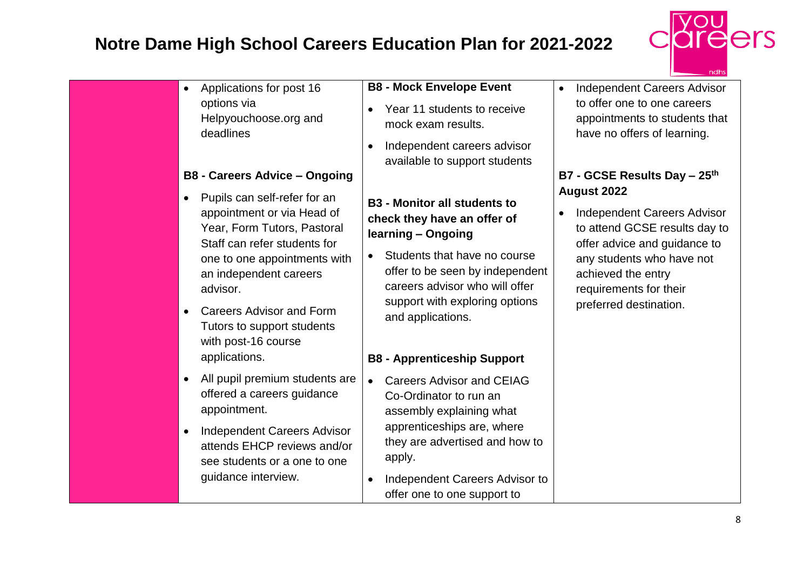

|                                                                                                                                                                                                                                                                                                                       |                                                                                                                                                                                                                                                                                                         | ndhs                                                                                                                                                                                                                             |
|-----------------------------------------------------------------------------------------------------------------------------------------------------------------------------------------------------------------------------------------------------------------------------------------------------------------------|---------------------------------------------------------------------------------------------------------------------------------------------------------------------------------------------------------------------------------------------------------------------------------------------------------|----------------------------------------------------------------------------------------------------------------------------------------------------------------------------------------------------------------------------------|
| Applications for post 16<br>$\bullet$<br>options via<br>Helpyouchoose.org and<br>deadlines<br><b>B8 - Careers Advice - Ongoing</b>                                                                                                                                                                                    | <b>B8 - Mock Envelope Event</b><br>Year 11 students to receive<br>$\bullet$<br>mock exam results.<br>Independent careers advisor<br>$\bullet$<br>available to support students                                                                                                                          | <b>Independent Careers Advisor</b><br>to offer one to one careers<br>appointments to students that<br>have no offers of learning.<br>B7 - GCSE Results Day - 25th                                                                |
| Pupils can self-refer for an<br>appointment or via Head of<br>Year, Form Tutors, Pastoral<br>Staff can refer students for<br>one to one appointments with<br>an independent careers<br>advisor.<br><b>Careers Advisor and Form</b><br>$\bullet$<br>Tutors to support students<br>with post-16 course<br>applications. | <b>B3 - Monitor all students to</b><br>check they have an offer of<br>learning - Ongoing<br>Students that have no course<br>$\bullet$<br>offer to be seen by independent<br>careers advisor who will offer<br>support with exploring options<br>and applications.<br><b>B8 - Apprenticeship Support</b> | <b>August 2022</b><br><b>Independent Careers Advisor</b><br>to attend GCSE results day to<br>offer advice and guidance to<br>any students who have not<br>achieved the entry<br>requirements for their<br>preferred destination. |
| All pupil premium students are<br>$\bullet$<br>offered a careers guidance<br>appointment.<br><b>Independent Careers Advisor</b><br>$\bullet$<br>attends EHCP reviews and/or<br>see students or a one to one<br>guidance interview.                                                                                    | <b>Careers Advisor and CEIAG</b><br>$\bullet$<br>Co-Ordinator to run an<br>assembly explaining what<br>apprenticeships are, where<br>they are advertised and how to<br>apply.<br>Independent Careers Advisor to<br>$\bullet$<br>offer one to one support to                                             |                                                                                                                                                                                                                                  |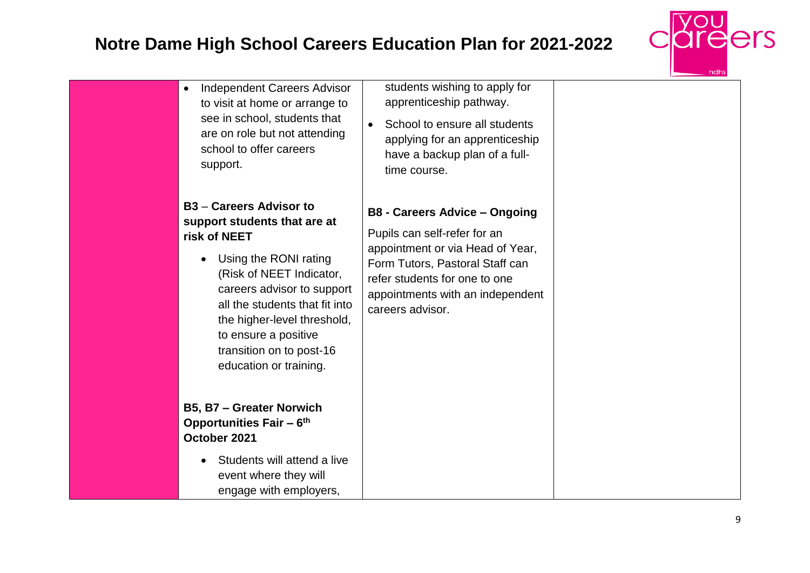

| <b>Independent Careers Advisor</b><br>$\bullet$<br>to visit at home or arrange to<br>see in school, students that<br>are on role but not attending<br>school to offer careers<br>support.                                                                                                                        | students wishing to apply for<br>apprenticeship pathway.<br>School to ensure all students<br>$\bullet$<br>applying for an apprenticeship<br>have a backup plan of a full-<br>time course.                                            |  |
|------------------------------------------------------------------------------------------------------------------------------------------------------------------------------------------------------------------------------------------------------------------------------------------------------------------|--------------------------------------------------------------------------------------------------------------------------------------------------------------------------------------------------------------------------------------|--|
| <b>B3</b> – Careers Advisor to<br>support students that are at<br>risk of NEET<br>Using the RONI rating<br>(Risk of NEET Indicator,<br>careers advisor to support<br>all the students that fit into<br>the higher-level threshold,<br>to ensure a positive<br>transition on to post-16<br>education or training. | <b>B8 - Careers Advice - Ongoing</b><br>Pupils can self-refer for an<br>appointment or via Head of Year,<br>Form Tutors, Pastoral Staff can<br>refer students for one to one<br>appointments with an independent<br>careers advisor. |  |
| <b>B5, B7 - Greater Norwich</b><br><b>Opportunities Fair - 6th</b><br>October 2021<br>Students will attend a live<br>event where they will                                                                                                                                                                       |                                                                                                                                                                                                                                      |  |
| engage with employers,                                                                                                                                                                                                                                                                                           |                                                                                                                                                                                                                                      |  |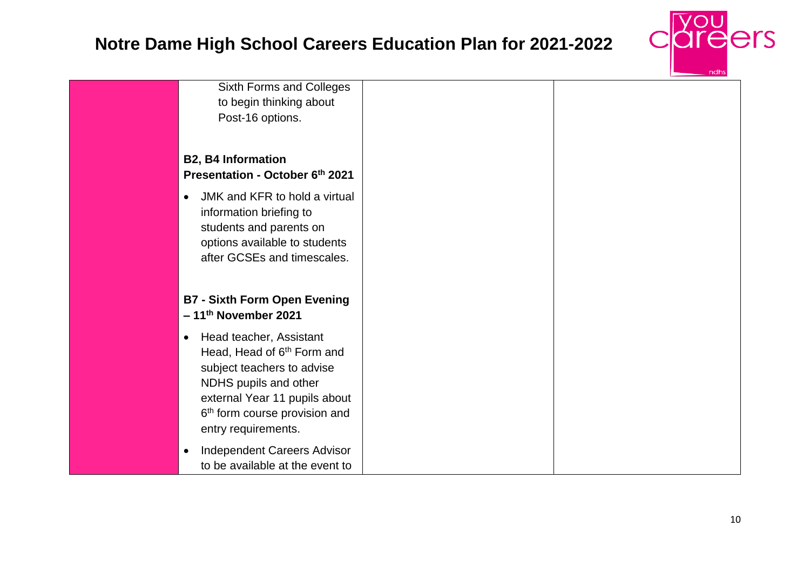

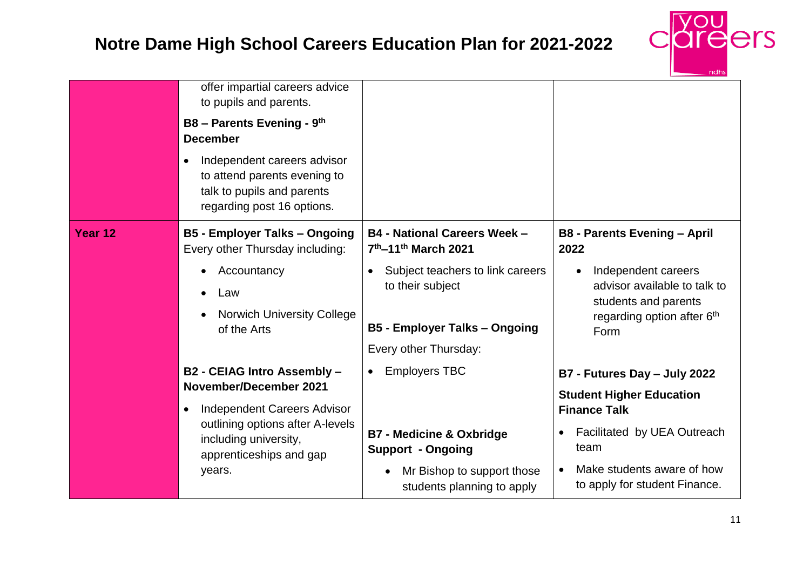

|         | offer impartial careers advice<br>to pupils and parents.                                                                |                                                                                                           |                                                                                                                   |
|---------|-------------------------------------------------------------------------------------------------------------------------|-----------------------------------------------------------------------------------------------------------|-------------------------------------------------------------------------------------------------------------------|
|         | B8 - Parents Evening - 9th<br><b>December</b>                                                                           |                                                                                                           |                                                                                                                   |
|         | Independent careers advisor<br>to attend parents evening to<br>talk to pupils and parents<br>regarding post 16 options. |                                                                                                           |                                                                                                                   |
| Year 12 | <b>B5 - Employer Talks - Ongoing</b><br>Every other Thursday including:                                                 | <b>B4 - National Careers Week -</b><br>7th-11th March 2021                                                | <b>B8 - Parents Evening - April</b><br>2022                                                                       |
|         | Accountancy<br>Law<br><b>Norwich University College</b><br>of the Arts                                                  | Subject teachers to link careers<br>$\bullet$<br>to their subject<br><b>B5 - Employer Talks - Ongoing</b> | Independent careers<br>advisor available to talk to<br>students and parents<br>regarding option after 6th<br>Form |
|         |                                                                                                                         | Every other Thursday:                                                                                     |                                                                                                                   |
|         | B2 - CEIAG Intro Assembly -                                                                                             | <b>Employers TBC</b><br>$\bullet$                                                                         | B7 - Futures Day - July 2022                                                                                      |
|         | <b>November/December 2021</b><br><b>Independent Careers Advisor</b>                                                     |                                                                                                           | <b>Student Higher Education</b><br><b>Finance Talk</b>                                                            |
|         | outlining options after A-levels<br>including university,<br>apprenticeships and gap                                    | <b>B7 - Medicine &amp; Oxbridge</b><br><b>Support - Ongoing</b>                                           | Facilitated by UEA Outreach<br>team                                                                               |
|         | years.                                                                                                                  | Mr Bishop to support those<br>$\bullet$<br>students planning to apply                                     | Make students aware of how<br>to apply for student Finance.                                                       |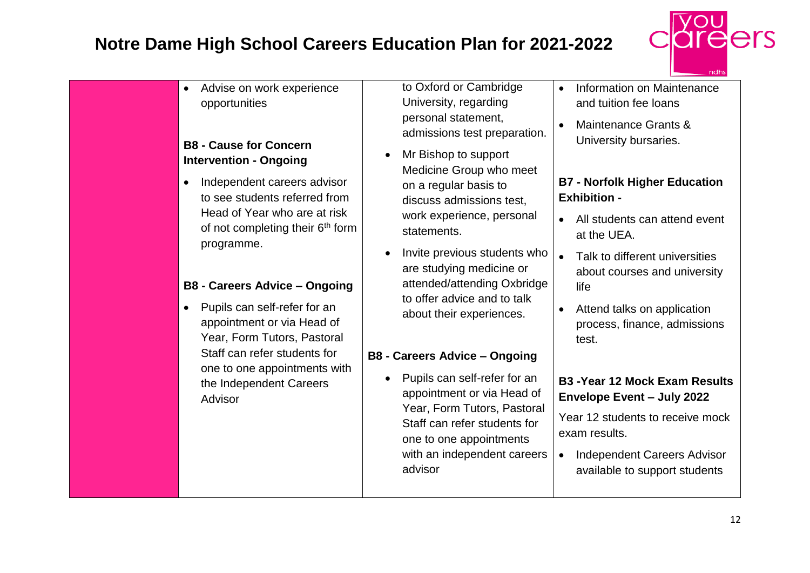

| Advise on work experience<br>$\bullet$<br>opportunities<br><b>B8 - Cause for Concern</b><br><b>Intervention - Ongoing</b><br>Independent careers advisor<br>$\bullet$<br>to see students referred from<br>Head of Year who are at risk<br>of not completing their 6 <sup>th</sup> form<br>programme.<br><b>B8 - Careers Advice - Ongoing</b><br>Pupils can self-refer for an<br>$\bullet$<br>appointment or via Head of<br>Year, Form Tutors, Pastoral<br>Staff can refer students for<br>one to one appointments with<br>the Independent Careers<br>Advisor | to Oxford or Cambridge<br>University, regarding<br>personal statement,<br>admissions test preparation.<br>Mr Bishop to support<br>$\bullet$<br>Medicine Group who meet<br>on a regular basis to<br>discuss admissions test,<br>work experience, personal<br>statements.<br>Invite previous students who<br>are studying medicine or<br>attended/attending Oxbridge<br>to offer advice and to talk<br>about their experiences.<br><b>B8 - Careers Advice - Ongoing</b><br>Pupils can self-refer for an<br>appointment or via Head of<br>Year, Form Tutors, Pastoral<br>Staff can refer students for<br>one to one appointments | Information on Maintenance<br>and tuition fee loans<br>Maintenance Grants &<br>University bursaries.<br><b>B7 - Norfolk Higher Education</b><br><b>Exhibition -</b><br>All students can attend event<br>at the UEA.<br>Talk to different universities<br>$\bullet$<br>about courses and university<br>life<br>Attend talks on application<br>process, finance, admissions<br>test.<br><b>B3 - Year 12 Mock Exam Results</b><br><b>Envelope Event - July 2022</b><br>Year 12 students to receive mock<br>exam results. |
|--------------------------------------------------------------------------------------------------------------------------------------------------------------------------------------------------------------------------------------------------------------------------------------------------------------------------------------------------------------------------------------------------------------------------------------------------------------------------------------------------------------------------------------------------------------|-------------------------------------------------------------------------------------------------------------------------------------------------------------------------------------------------------------------------------------------------------------------------------------------------------------------------------------------------------------------------------------------------------------------------------------------------------------------------------------------------------------------------------------------------------------------------------------------------------------------------------|-----------------------------------------------------------------------------------------------------------------------------------------------------------------------------------------------------------------------------------------------------------------------------------------------------------------------------------------------------------------------------------------------------------------------------------------------------------------------------------------------------------------------|
|--------------------------------------------------------------------------------------------------------------------------------------------------------------------------------------------------------------------------------------------------------------------------------------------------------------------------------------------------------------------------------------------------------------------------------------------------------------------------------------------------------------------------------------------------------------|-------------------------------------------------------------------------------------------------------------------------------------------------------------------------------------------------------------------------------------------------------------------------------------------------------------------------------------------------------------------------------------------------------------------------------------------------------------------------------------------------------------------------------------------------------------------------------------------------------------------------------|-----------------------------------------------------------------------------------------------------------------------------------------------------------------------------------------------------------------------------------------------------------------------------------------------------------------------------------------------------------------------------------------------------------------------------------------------------------------------------------------------------------------------|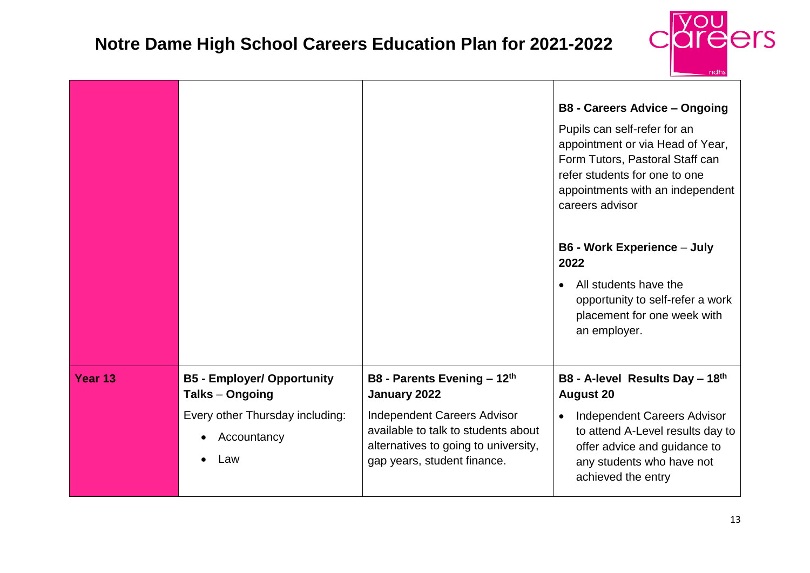

|                    |                                                       |                                                                                                                                                  | <b>B8 - Careers Advice - Ongoing</b><br>Pupils can self-refer for an<br>appointment or via Head of Year,<br>Form Tutors, Pastoral Staff can<br>refer students for one to one<br>appointments with an independent<br>careers advisor |
|--------------------|-------------------------------------------------------|--------------------------------------------------------------------------------------------------------------------------------------------------|-------------------------------------------------------------------------------------------------------------------------------------------------------------------------------------------------------------------------------------|
|                    |                                                       |                                                                                                                                                  | <b>B6 - Work Experience - July</b><br>2022<br>All students have the<br>$\bullet$<br>opportunity to self-refer a work<br>placement for one week with<br>an employer.                                                                 |
| Year <sub>13</sub> | <b>B5 - Employer/ Opportunity</b><br>Talks - Ongoing  | B8 - Parents Evening - 12th<br>January 2022                                                                                                      | B8 - A-level Results Day - 18th<br><b>August 20</b>                                                                                                                                                                                 |
|                    | Every other Thursday including:<br>Accountancy<br>Law | <b>Independent Careers Advisor</b><br>available to talk to students about<br>alternatives to going to university,<br>gap years, student finance. | <b>Independent Careers Advisor</b><br>$\bullet$<br>to attend A-Level results day to<br>offer advice and guidance to<br>any students who have not<br>achieved the entry                                                              |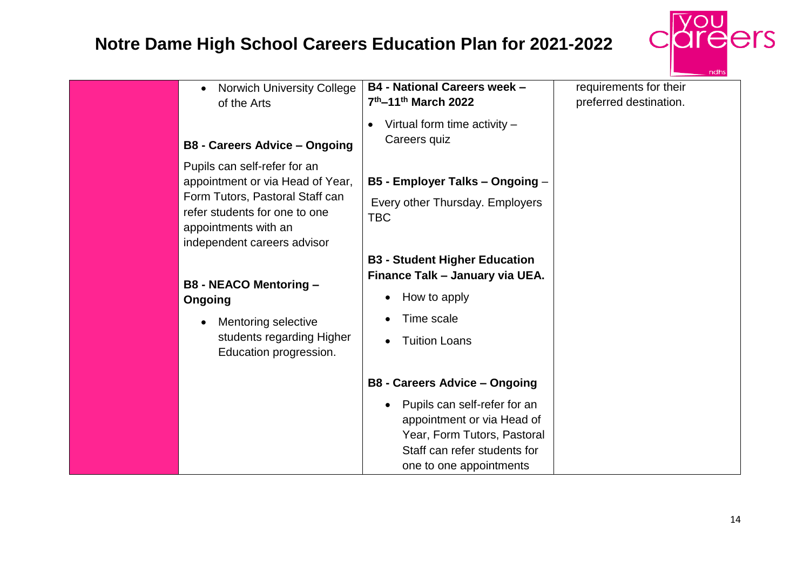

| <b>Norwich University College</b><br>$\bullet$<br>of the Arts                                                                                                                                                                                                                                                                      | <b>B4 - National Careers week -</b><br>7th-11th March 2022                                                                                                                                                                     | requirements for their<br>preferred destination. |
|------------------------------------------------------------------------------------------------------------------------------------------------------------------------------------------------------------------------------------------------------------------------------------------------------------------------------------|--------------------------------------------------------------------------------------------------------------------------------------------------------------------------------------------------------------------------------|--------------------------------------------------|
| <b>B8 - Careers Advice - Ongoing</b>                                                                                                                                                                                                                                                                                               | Virtual form time activity $-$<br>Careers quiz                                                                                                                                                                                 |                                                  |
| Pupils can self-refer for an<br>appointment or via Head of Year,<br>Form Tutors, Pastoral Staff can<br>refer students for one to one<br>appointments with an<br>independent careers advisor<br><b>B8 - NEACO Mentoring -</b><br>Ongoing<br>Mentoring selective<br>$\bullet$<br>students regarding Higher<br>Education progression. | B5 - Employer Talks - Ongoing -<br>Every other Thursday. Employers<br><b>TBC</b><br><b>B3 - Student Higher Education</b><br>Finance Talk - January via UEA.<br>How to apply<br>$\bullet$<br>Time scale<br><b>Tuition Loans</b> |                                                  |
|                                                                                                                                                                                                                                                                                                                                    | <b>B8 - Careers Advice - Ongoing</b>                                                                                                                                                                                           |                                                  |
|                                                                                                                                                                                                                                                                                                                                    | Pupils can self-refer for an<br>$\bullet$<br>appointment or via Head of<br>Year, Form Tutors, Pastoral<br>Staff can refer students for<br>one to one appointments                                                              |                                                  |